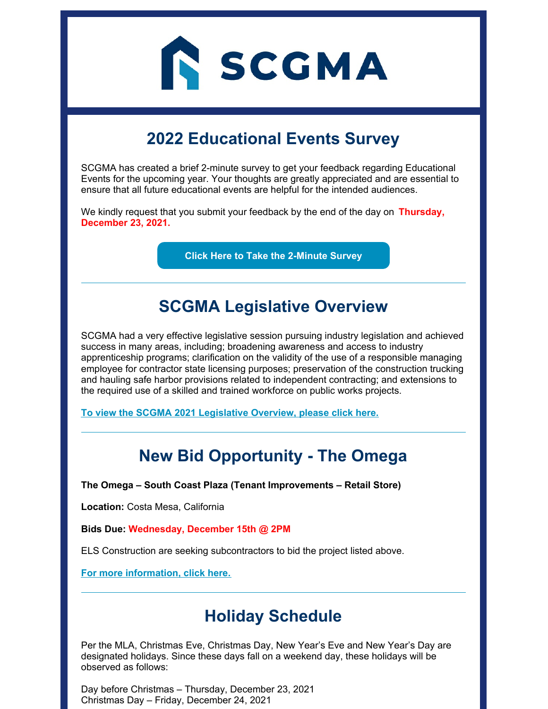

# **2022 Educational Events Survey**

SCGMA has created a brief 2-minute survey to get your feedback regarding Educational Events for the upcoming year. Your thoughts are greatly appreciated and are essential to ensure that all future educational events are helpful for the intended audiences.

We kindly request that you submit your feedback by the end of the day on **Thursday, December 23, 2021.**

**Click Here to Take the [2-Minute](https://lp.constantcontactpages.com/sv/EB0u2rs/2022educationaleventssurv?source_id=cdf66077-0b91-465d-9872-89af849df19f&source_type=em&c=) Survey**

#### **SCGMA Legislative Overview**

SCGMA had a very effective legislative session pursuing industry legislation and achieved success in many areas, including; broadening awareness and access to industry apprenticeship programs; clarification on the validity of the use of a responsible managing employee for contractor state licensing purposes; preservation of the construction trucking and hauling safe harbor provisions related to independent contracting; and extensions to the required use of a skilled and trained workforce on public works projects.

**To view the SCGMA 2021 [Legislative](https://www.scgma.com/scgma-2021-ca-legislative-scorecard/) Overview, please click here.**

### **New Bid Opportunity - The Omega**

**The Omega – South Coast Plaza (Tenant Improvements – Retail Store)**

**Location:** Costa Mesa, California

**Bids Due: Wednesday, December 15th @ 2PM**

ELS Construction are seeking subcontractors to bid the project listed above.

**For more [information,](https://www.scgma.com/bidding-opportunities/) click here.**

### **Holiday Schedule**

Per the MLA, Christmas Eve, Christmas Day, New Year's Eve and New Year's Day are designated holidays. Since these days fall on a weekend day, these holidays will be observed as follows:

Day before Christmas – Thursday, December 23, 2021 Christmas Day – Friday, December 24, 2021